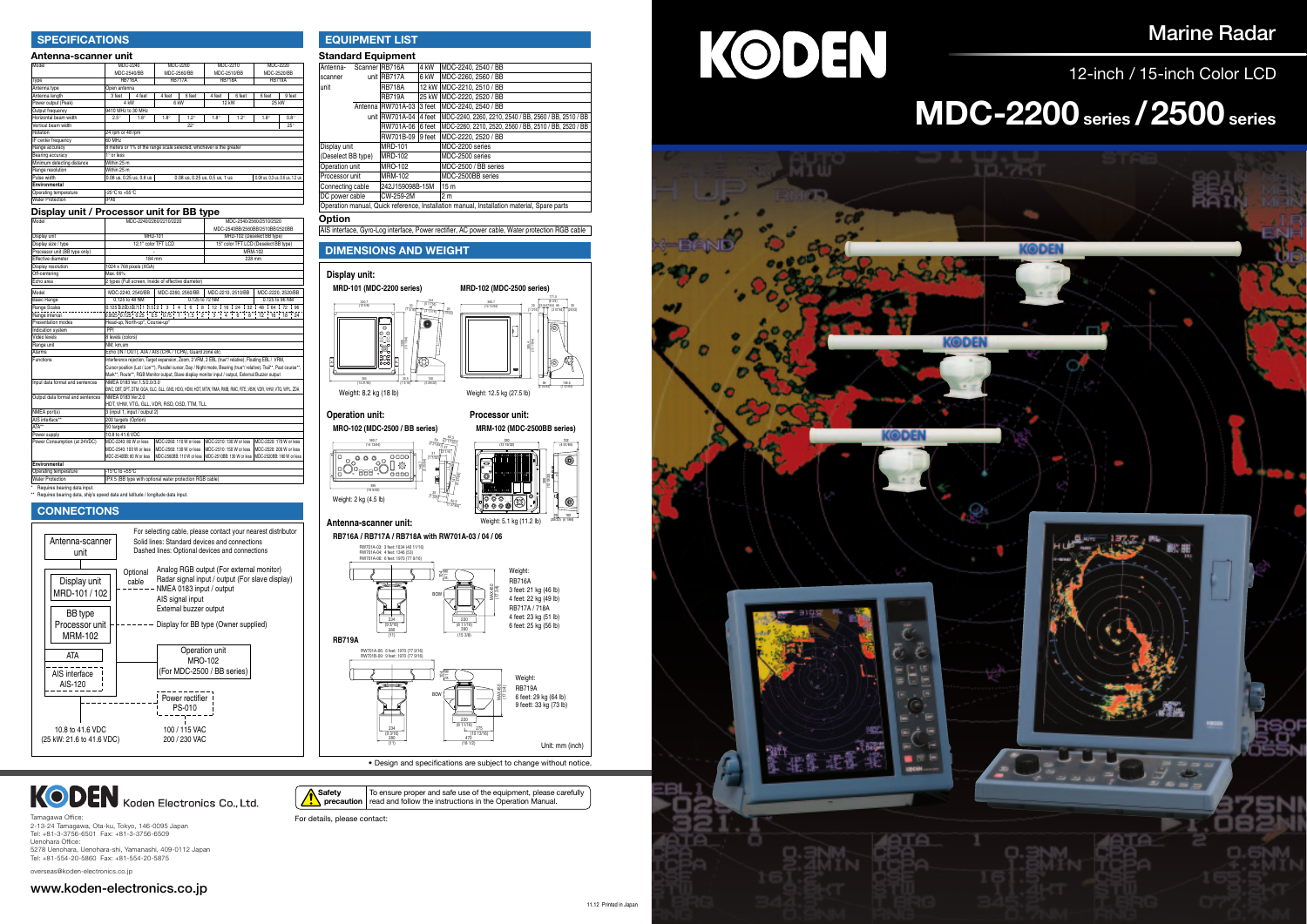**Safety**

Tamagawa Office 2-13-24 Tamagawa, Ota-ku, Tokyo, 146-0095 Japan<br>Tel: +81-3-3756-6501 Fax: +81-3-3756-6509 Uenohara Office: 5278 Uenohara, Uenohara-shi, Yamanashi, 409-0112 Japan

Tel: +81-554-20-5860 Fax: +81-554-20-5875

• Design and specifications are subject to change without notice.

**Safety** To ensure proper and safe use of the equipment, please carefully<br>**precaution** read and follow the instructions in the Operation Manual.

# KODEN Koden Electronics Co., Ltd.

For details, please contact:

**www.koden-electronics.co.jp**



# KODEN



overseas@koden-electronics.co.jp

# **MDC-2200 series /2500 series**

# 12-inch / 15-inch Color LCD

# **Marine Radar**

# **Display unit:**

### **Standard Equipment**

# **Antenna-scanner unit:**

Weight: 12.5 kg (27.5 lb)

# **EQUIPMENT LIST**

# **CONNECTIONS**

### **DIMENSIONS AND WEIGHT**

Weight: 8.2 kg (18 lb)



### **Operation unit:**



 $\tilde{\mathrm{a}}$ (12 19/32)

|                    |  | <b>Ulahuaru Lyuipingiil</b> |        |                                                                                            |  |  |  |
|--------------------|--|-----------------------------|--------|--------------------------------------------------------------------------------------------|--|--|--|
| Antenna-           |  | Scanner RB716A              | 4 kW   | MDC-2240, 2540 / BB                                                                        |  |  |  |
| scanner            |  | unit RB717A                 | 6 kW   | MDC-2260, 2560 / BB                                                                        |  |  |  |
| unit               |  | <b>RB718A</b>               |        | 12 kW MDC-2210, 2510 / BB                                                                  |  |  |  |
|                    |  | <b>RB719A</b>               |        | 25 kW MDC-2220, 2520 / BB                                                                  |  |  |  |
|                    |  | Antenna RW701A-03           | 3 feet | MDC-2240, 2540 / BB                                                                        |  |  |  |
|                    |  | unit RW701A-04              | 4 feet | MDC-2240, 2260, 2210, 2540 / BB, 2560 / BB, 2510 / BB                                      |  |  |  |
|                    |  | RW701A-06                   | 6 feet | MDC-2260, 2210, 2520, 2560 / BB, 2510 / BB, 2520 / BB                                      |  |  |  |
|                    |  | RW701B-09 9 feet            |        | MDC-2220, 2520 / BB                                                                        |  |  |  |
| Display unit       |  | <b>MRD-101</b>              |        | MDC-2200 series                                                                            |  |  |  |
| (Deselect BB type) |  | MRD-102                     |        | MDC-2500 series                                                                            |  |  |  |
| Operation unit     |  | MRO-102                     |        | MDC-2500 / BB series                                                                       |  |  |  |
| Processor unit     |  | MRM-102                     |        | MDC-2500BB series                                                                          |  |  |  |
| Connecting cable   |  | 242J159098B-15M             |        | 15 <sub>m</sub>                                                                            |  |  |  |
| DC power cable     |  | CW-259-2M                   |        | 2 <sub>m</sub>                                                                             |  |  |  |
|                    |  |                             |        | Operation manual, Quick reference, Installation manual, Installation material, Spare parts |  |  |  |



AIS interface, Gyro-Log interface, Power rectifier, AC power cable, Water protection RGB cable

### **Option**

(2 43/64)

196.6 (7 47/64)

385.4 (15 11/64) 171.5 (6 3/4) (3 57/64)

(1 3/16)

360.7<br>4.13/64) 30 22.5(57/64)

(25/32)

(14 13/64)



# **SPECIFICATIONS**

(12 19/32)

eight: 5.1 kg (11.2 lb)

122 (4 51/64)

102 (4 1/64) 20 (25/32)

**Processor unit:**

| Antenna-scanner unit       |                                                      |                          |                                                                      |                                |             |               |             |                                 |
|----------------------------|------------------------------------------------------|--------------------------|----------------------------------------------------------------------|--------------------------------|-------------|---------------|-------------|---------------------------------|
| Model                      |                                                      | MDC-2240                 |                                                                      | MDC-2260                       |             | MDC-2210      |             | MDC-2220                        |
|                            |                                                      | MDC-2540/BB              |                                                                      | MDC-2560/BB                    |             | MDC-2510/BB   |             | MDC-2520/BB                     |
| Type                       |                                                      | <b>RB716A</b>            |                                                                      | <b>RB717A</b>                  |             | <b>RB718A</b> |             | <b>RB719A</b>                   |
| Antenna type               | Open antenna                                         |                          |                                                                      |                                |             |               |             |                                 |
| Antenna length             | 3 feet                                               | 4 feet                   | 4 feet                                                               | 6 feet                         | 4 feet      | 6 feet        | 6 feet      | 9 feet                          |
| Power output (Peak)        |                                                      | 4 kW                     |                                                                      | 6 kW                           |             | 12 kW         |             | 25 kW                           |
| Output frequency           | 9410 MHz to 30 MHz                                   |                          |                                                                      |                                |             |               |             |                                 |
| Horizontal beam width      | $2.5^\circ$                                          | $1.8^\circ$              | $1.8^\circ$                                                          | $1.2^\circ$                    | $1.8^\circ$ | $1.2^\circ$   | $1.8^\circ$ | $0.8^\circ$                     |
| Vertical beam width        |                                                      |                          |                                                                      | $22^{\circ}$                   |             |               |             | $25^{\circ}$                    |
| Rotation                   | 24 rpm or 48 rpm                                     |                          |                                                                      |                                |             |               |             |                                 |
| IF center frequency        | 60 MHz                                               |                          |                                                                      |                                |             |               |             |                                 |
| Range accuracy             |                                                      |                          | 8 meters or 1% of the range scale selected, whichever is the greater |                                |             |               |             |                                 |
| Bearing accuracy           | 1° or less                                           |                          |                                                                      |                                |             |               |             |                                 |
| Minimum detecting distance | Within 25 m                                          |                          |                                                                      |                                |             |               |             |                                 |
| Range resolution           | Within 25 m                                          |                          |                                                                      |                                |             |               |             |                                 |
| Pulse width                |                                                      | 0.08 us, 0.25 us, 0.8 us |                                                                      | 0.08 us. 0.25 us. 0.5 us. 1 us |             |               |             | 0.08 us. 0.3 us. 0.6 us. 1.2 us |
| Environmental              |                                                      |                          |                                                                      |                                |             |               |             |                                 |
| Operating temperature      | -25 $\mathrm{^{\circ}C}$ to +55 $\mathrm{^{\circ}C}$ |                          |                                                                      |                                |             |               |             |                                 |
| <b>Water Protection</b>    | IPX6                                                 |                          |                                                                      |                                |             |               |             |                                 |

| Model                            |                                                                                                                         | MDC-2240/2260/2210/2220                                                       | MDC-2540/2560/2510/2520                                                 |                   |  |  |  |
|----------------------------------|-------------------------------------------------------------------------------------------------------------------------|-------------------------------------------------------------------------------|-------------------------------------------------------------------------|-------------------|--|--|--|
|                                  |                                                                                                                         |                                                                               | MDC-2540BB/2560BB/2510BB/2520BB                                         |                   |  |  |  |
| Display unit                     |                                                                                                                         | <b>MRD-101</b>                                                                | MRD-102 (Deselect BB type)                                              |                   |  |  |  |
| Display size / type              |                                                                                                                         | 12.1" color TFT LCD                                                           | 15" color TFT LCD (Deselect BB type)                                    |                   |  |  |  |
| Processor unit (BB type only)    |                                                                                                                         |                                                                               | MRM-102                                                                 |                   |  |  |  |
| Effective diameter               |                                                                                                                         | 184 mm                                                                        | 228 mm                                                                  |                   |  |  |  |
| Display resolution               | 1024 x 768 pixels (XGA)                                                                                                 |                                                                               |                                                                         |                   |  |  |  |
| Off-centering                    | Max. 66%                                                                                                                |                                                                               |                                                                         |                   |  |  |  |
| Echo area                        | 2 types (Full screen, Inside of effective diameter)                                                                     |                                                                               |                                                                         |                   |  |  |  |
| Model                            | MDC-2240, 2540/BB                                                                                                       | MDC-2260, 2560/BB                                                             | MDC-2210, 2510/BB                                                       | MDC-2220, 2520/BB |  |  |  |
| <b>Basic Range</b>               | 0.125 to 48 NM                                                                                                          |                                                                               | 0.125 to 72 NM                                                          | 0.125 to 96 NM    |  |  |  |
| Range Scales                     | $0.125 \times 0.5 \times 0.5$ 1 $1.5$ 2 $1.3$ $1.4$ $1.6$ $1.8$ $1.12$ $1.16$ $1.24$ $1.32$ $1.48$ $1.64$ $1.72$ $1.96$ |                                                                               |                                                                         |                   |  |  |  |
| Range interval                   | $0.0625, 0.125, 0.25, 0.5, 0.75, 1, 1.5, 2, 3, 4, 6, 8, 12, 16, 18, 24$                                                 |                                                                               |                                                                         |                   |  |  |  |
| Presentation modes               | Head-up, North-up*, Course-up*                                                                                          |                                                                               |                                                                         |                   |  |  |  |
| Indication system                | PPI                                                                                                                     |                                                                               |                                                                         |                   |  |  |  |
| Video levels                     | 8 levels (colors)                                                                                                       |                                                                               |                                                                         |                   |  |  |  |
| Range unit                       | NM, km, sm                                                                                                              |                                                                               |                                                                         |                   |  |  |  |
| Alarms                           | Echo (IN / OUT), ATA / AIS (CPA / TCPA), Guard zone etc.                                                                |                                                                               |                                                                         |                   |  |  |  |
| <b>Functions</b>                 | Interference rejection, Target expansion, Zoom, 2 VRM, 2 EBL (true*/ relative), Floating EBL / VRM,                     |                                                                               |                                                                         |                   |  |  |  |
|                                  | Cursor position (Lat / Lon**), Parallel cursor, Day / Night mode, Bearing (true*/ relative), Trail**, Past course**,    |                                                                               |                                                                         |                   |  |  |  |
|                                  | Mark**, Route**, RGB Monitor output, Slave display monitor input / output, External Buzzer output                       |                                                                               |                                                                         |                   |  |  |  |
| Input data format and sentences  | NMEA 0183 Ver. 1.5/2.0/3.0                                                                                              |                                                                               |                                                                         |                   |  |  |  |
|                                  | BWC, DBT, DPT, DTM, GGA, GLC, GLL, GNS, HDG, HDM, HDT, MTW, RMA, RMB, RMC, RTE, VBW, VDR, VHW, VTG, WPL, ZDA            |                                                                               |                                                                         |                   |  |  |  |
| Output data format and sentences | NMEA 0183 Ver.2.0                                                                                                       |                                                                               |                                                                         |                   |  |  |  |
|                                  | HDT, VHW, VTG, GLL, VDR, RSD, OSD, TTM, TLL                                                                             |                                                                               |                                                                         |                   |  |  |  |
| NMEA port(s)                     | 3 (input 1, input / output 2)                                                                                           |                                                                               |                                                                         |                   |  |  |  |
| AIS interface**                  | 200 targets (Option)                                                                                                    |                                                                               |                                                                         |                   |  |  |  |
| ATA**                            | 50 targets                                                                                                              |                                                                               |                                                                         |                   |  |  |  |
| Power supply                     | 10.8 to 41.6 VDC                                                                                                        |                                                                               |                                                                         |                   |  |  |  |
| Power Consumption (at 24VDC)     | MDC-2240: 80 W or less                                                                                                  |                                                                               | MDC-2260: 110 W or less MDC-2210: 130 W or less MDC-2220: 170 W or less |                   |  |  |  |
|                                  | MDC-2540: 100 W or less                                                                                                 | MDC-2560: 130 W or less NDC-2510: 150 W or less NDC-2520: 200 W or less       |                                                                         |                   |  |  |  |
|                                  | MDC-2540BB: 80 W or less                                                                                                | MDC-2560BB: 110 W or less NDC-2510BB: 130 W or less NDC-2520BB: 180 W or less |                                                                         |                   |  |  |  |
| Environmental                    |                                                                                                                         |                                                                               |                                                                         |                   |  |  |  |
| Operating temperature            | -15°C to +55°C                                                                                                          |                                                                               |                                                                         |                   |  |  |  |
| <b>Water Protection</b>          | IPX 5 (BB type with optional water protection RGB cable)                                                                |                                                                               |                                                                         |                   |  |  |  |

\* Requires bearing data input. \*\* Requires bearing data, ship's speed data and latitude / longitude data input.

### **Display unit / Processor unit for BB type**

**MRO-102 (MDC-2500 / BB series) MRM-102 (MDC-2500BB series)**